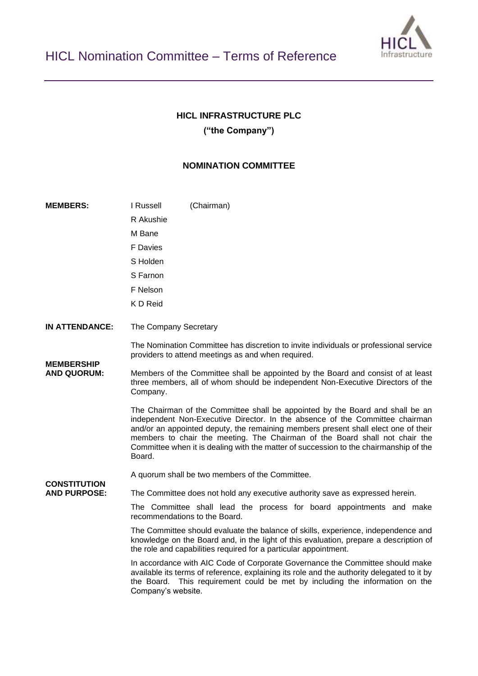

### **HICL INFRASTRUCTURE PLC ("the Company")**

#### **NOMINATION COMMITTEE**

| <b>MEMBERS:</b>                            | I Russell                        | (Chairman)                                                                                                                                                                                                                                                                                                                                                                                                                  |
|--------------------------------------------|----------------------------------|-----------------------------------------------------------------------------------------------------------------------------------------------------------------------------------------------------------------------------------------------------------------------------------------------------------------------------------------------------------------------------------------------------------------------------|
|                                            | R Akushie                        |                                                                                                                                                                                                                                                                                                                                                                                                                             |
|                                            | M Bane                           |                                                                                                                                                                                                                                                                                                                                                                                                                             |
|                                            | <b>F</b> Davies                  |                                                                                                                                                                                                                                                                                                                                                                                                                             |
|                                            | S Holden                         |                                                                                                                                                                                                                                                                                                                                                                                                                             |
|                                            | S Farnon                         |                                                                                                                                                                                                                                                                                                                                                                                                                             |
|                                            | F Nelson                         |                                                                                                                                                                                                                                                                                                                                                                                                                             |
|                                            | K D Reid                         |                                                                                                                                                                                                                                                                                                                                                                                                                             |
| <b>IN ATTENDANCE:</b>                      | The Company Secretary            |                                                                                                                                                                                                                                                                                                                                                                                                                             |
| <b>MEMBERSHIP</b><br><b>AND QUORUM:</b>    |                                  | The Nomination Committee has discretion to invite individuals or professional service<br>providers to attend meetings as and when required.                                                                                                                                                                                                                                                                                 |
|                                            | Company.                         | Members of the Committee shall be appointed by the Board and consist of at least<br>three members, all of whom should be independent Non-Executive Directors of the                                                                                                                                                                                                                                                         |
|                                            | Board.                           | The Chairman of the Committee shall be appointed by the Board and shall be an<br>independent Non-Executive Director. In the absence of the Committee chairman<br>and/or an appointed deputy, the remaining members present shall elect one of their<br>members to chair the meeting. The Chairman of the Board shall not chair the<br>Committee when it is dealing with the matter of succession to the chairmanship of the |
| <b>CONSTITUTION</b><br><b>AND PURPOSE:</b> |                                  | A quorum shall be two members of the Committee.                                                                                                                                                                                                                                                                                                                                                                             |
|                                            |                                  | The Committee does not hold any executive authority save as expressed herein.                                                                                                                                                                                                                                                                                                                                               |
|                                            | recommendations to the Board.    | The Committee shall lead the process for board appointments and make                                                                                                                                                                                                                                                                                                                                                        |
|                                            |                                  | The Committee should evaluate the balance of skills, experience, independence and<br>knowledge on the Board and, in the light of this evaluation, prepare a description of<br>the role and capabilities required for a particular appointment.                                                                                                                                                                              |
|                                            | the Board.<br>Company's website. | In accordance with AIC Code of Corporate Governance the Committee should make<br>available its terms of reference, explaining its role and the authority delegated to it by<br>This requirement could be met by including the information on the                                                                                                                                                                            |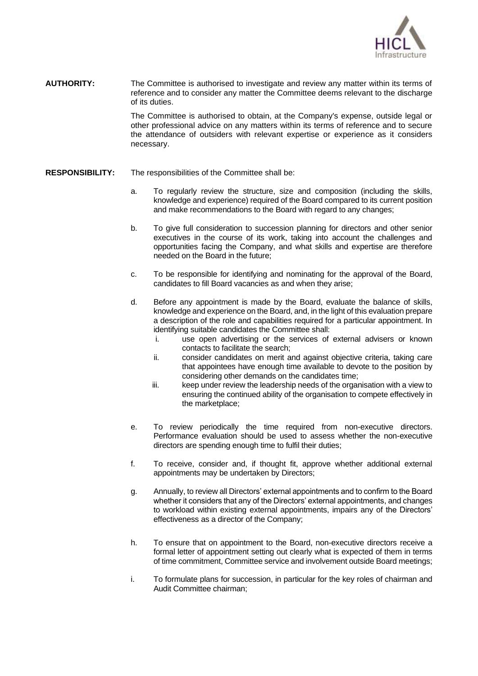

**AUTHORITY:** The Committee is authorised to investigate and review any matter within its terms of reference and to consider any matter the Committee deems relevant to the discharge of its duties.

> The Committee is authorised to obtain, at the Company's expense, outside legal or other professional advice on any matters within its terms of reference and to secure the attendance of outsiders with relevant expertise or experience as it considers necessary.

- **RESPONSIBILITY:** The responsibilities of the Committee shall be:
	- a. To regularly review the structure, size and composition (including the skills, knowledge and experience) required of the Board compared to its current position and make recommendations to the Board with regard to any changes;
	- b. To give full consideration to succession planning for directors and other senior executives in the course of its work, taking into account the challenges and opportunities facing the Company, and what skills and expertise are therefore needed on the Board in the future;
	- c. To be responsible for identifying and nominating for the approval of the Board, candidates to fill Board vacancies as and when they arise;
	- d. Before any appointment is made by the Board, evaluate the balance of skills, knowledge and experience on the Board, and, in the light of this evaluation prepare a description of the role and capabilities required for a particular appointment. In identifying suitable candidates the Committee shall:
		- i. use open advertising or the services of external advisers or known contacts to facilitate the search;
		- ii. consider candidates on merit and against objective criteria, taking care that appointees have enough time available to devote to the position by considering other demands on the candidates time;
		- iii. keep under review the leadership needs of the organisation with a view to ensuring the continued ability of the organisation to compete effectively in the marketplace;
	- e. To review periodically the time required from non-executive directors. Performance evaluation should be used to assess whether the non-executive directors are spending enough time to fulfil their duties;
	- f. To receive, consider and, if thought fit, approve whether additional external appointments may be undertaken by Directors;
	- g. Annually, to review all Directors' external appointments and to confirm to the Board whether it considers that any of the Directors' external appointments, and changes to workload within existing external appointments, impairs any of the Directors' effectiveness as a director of the Company;
	- h. To ensure that on appointment to the Board, non-executive directors receive a formal letter of appointment setting out clearly what is expected of them in terms of time commitment, Committee service and involvement outside Board meetings;
	- i. To formulate plans for succession, in particular for the key roles of chairman and Audit Committee chairman;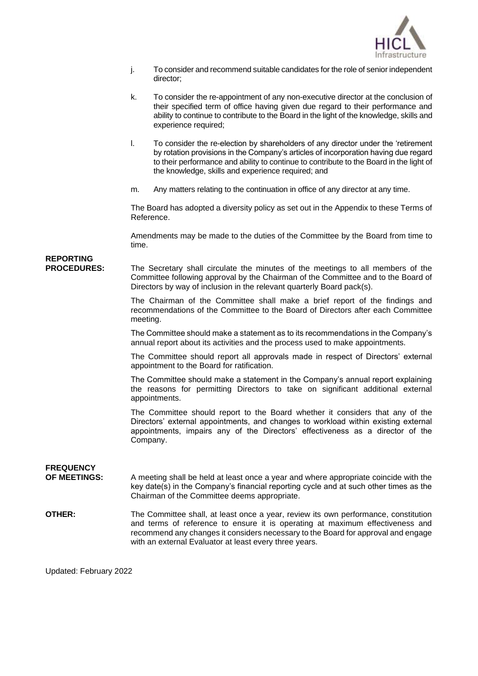

- j. To consider and recommend suitable candidates for the role of senior independent director;
- k. To consider the re-appointment of any non-executive director at the conclusion of their specified term of office having given due regard to their performance and ability to continue to contribute to the Board in the light of the knowledge, skills and experience required;
- l. To consider the re-election by shareholders of any director under the 'retirement by rotation provisions in the Company's articles of incorporation having due regard to their performance and ability to continue to contribute to the Board in the light of the knowledge, skills and experience required; and
- m. Any matters relating to the continuation in office of any director at any time.

The Board has adopted a diversity policy as set out in the Appendix to these Terms of Reference.

Amendments may be made to the duties of the Committee by the Board from time to time.

# **REPORTING**

**PROCEDURES:** The Secretary shall circulate the minutes of the meetings to all members of the Committee following approval by the Chairman of the Committee and to the Board of Directors by way of inclusion in the relevant quarterly Board pack(s).

> The Chairman of the Committee shall make a brief report of the findings and recommendations of the Committee to the Board of Directors after each Committee meeting.

> The Committee should make a statement as to its recommendations in the Company's annual report about its activities and the process used to make appointments.

> The Committee should report all approvals made in respect of Directors' external appointment to the Board for ratification.

> The Committee should make a statement in the Company's annual report explaining the reasons for permitting Directors to take on significant additional external appointments.

> The Committee should report to the Board whether it considers that any of the Directors' external appointments, and changes to workload within existing external appointments, impairs any of the Directors' effectiveness as a director of the Company.

## **FREQUENCY**

**OF MEETINGS:** A meeting shall be held at least once a year and where appropriate coincide with the key date(s) in the Company's financial reporting cycle and at such other times as the Chairman of the Committee deems appropriate.

**OTHER:** The Committee shall, at least once a year, review its own performance, constitution and terms of reference to ensure it is operating at maximum effectiveness and recommend any changes it considers necessary to the Board for approval and engage with an external Evaluator at least every three years.

Updated: February 2022